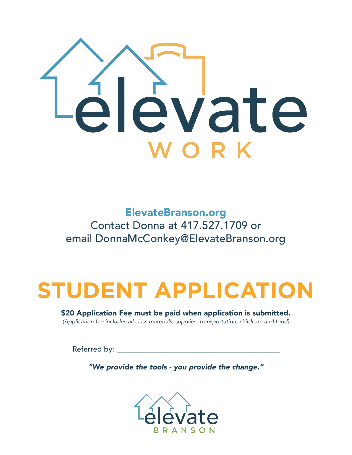

ElevateBranson.org Contact Donna at 417.527.1709 or email DonnaMcConkey@ElevateBranson.org

# **STUDENT APPLICATION**

\$20 Application Fee must be paid when application is submitted. *(Application fee includes all class materials, supplies, transportation, childcare and food)*

Referred by:

*"We provide the tools - you provide the change."*

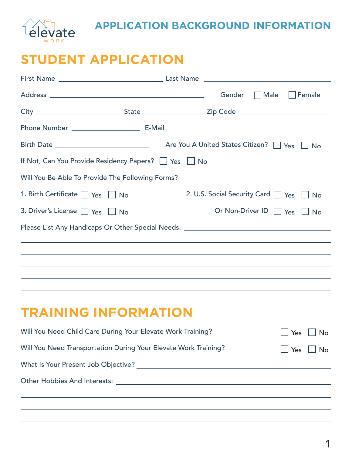

#### **APPLICATION BACKGROUND INFORMATION**

### **STUDENT APPLICATION**

|                                                                                   |  |                                         | Gender Male Female |     |                      |
|-----------------------------------------------------------------------------------|--|-----------------------------------------|--------------------|-----|----------------------|
|                                                                                   |  |                                         |                    |     |                      |
|                                                                                   |  |                                         |                    |     |                      |
|                                                                                   |  |                                         |                    |     |                      |
| If Not, Can You Provide Residency Papers? □ Yes □ No                              |  |                                         |                    |     |                      |
| Will You Be Able To Provide The Following Forms?                                  |  |                                         |                    |     |                      |
| 1. Birth Certificate $\Box$ Yes $\Box$ No                                         |  | 2. U.S. Social Security Card T Yes T No |                    |     |                      |
| 3. Driver's License   Yes   No                                                    |  | Or Non-Driver ID Yes U No               |                    |     |                      |
| Please List Any Handicaps Or Other Special Needs. _______________________________ |  |                                         |                    |     |                      |
|                                                                                   |  |                                         |                    |     |                      |
|                                                                                   |  |                                         |                    |     |                      |
|                                                                                   |  |                                         |                    |     |                      |
|                                                                                   |  |                                         |                    |     |                      |
| <b>TRAINING INFORMATION</b>                                                       |  |                                         |                    |     |                      |
| Will You Need Child Care During Your Elevate Work Training?                       |  |                                         |                    | Yes | No                   |
| Will You Need Transportation During Your Elevate Work Training?                   |  |                                         |                    |     | $\Box$ Yes $\Box$ No |
|                                                                                   |  |                                         |                    |     |                      |
|                                                                                   |  |                                         |                    |     |                      |
|                                                                                   |  |                                         |                    |     |                      |
|                                                                                   |  |                                         |                    |     |                      |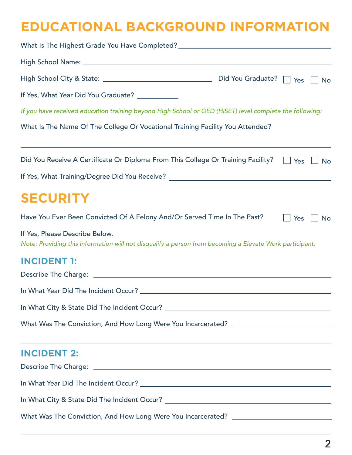## **EDUCATIONAL BACKGROUND INFORMATION**

| What Is The Highest Grade You Have Completed? __________________________________                                                          |  |                      |           |
|-------------------------------------------------------------------------------------------------------------------------------------------|--|----------------------|-----------|
|                                                                                                                                           |  |                      |           |
|                                                                                                                                           |  |                      | <b>No</b> |
| If Yes, What Year Did You Graduate? ___________                                                                                           |  |                      |           |
| If you have received education training beyond High School or GED (HiSET) level complete the following:                                   |  |                      |           |
| What Is The Name Of The College Or Vocational Training Facility You Attended?                                                             |  |                      |           |
| Did You Receive A Certificate Or Diploma From This College Or Training Facility?                                                          |  | $\Box$ Yes           | No        |
| If Yes, What Training/Degree Did You Receive? __________________________________                                                          |  |                      |           |
| <b>SECURITY</b>                                                                                                                           |  |                      |           |
| Have You Ever Been Convicted Of A Felony And/Or Served Time In The Past?                                                                  |  | $\Box$ Yes $\Box$ No |           |
| If Yes, Please Describe Below.<br>Note: Providing this information will not disqualify a person from becoming a Elevate Work participant. |  |                      |           |
| <b>INCIDENT 1:</b>                                                                                                                        |  |                      |           |
|                                                                                                                                           |  |                      |           |
| In What City & State Did The Incident Occur? ___________________________________                                                          |  |                      |           |
| What Was The Conviction, And How Long Were You Incarcerated? ____________________                                                         |  |                      |           |
| ,我们也不能会在这里,我们的人们就会不能会在这里,我们也不能会不能会不能会不能会不能会不能会不能会。""我们的人们,我们也不能会不能会不能会不能会不能会不能会不<br><b>INCIDENT 2:</b>                                    |  |                      |           |
|                                                                                                                                           |  |                      |           |
|                                                                                                                                           |  |                      |           |
| In What City & State Did The Incident Occur? ___________________________________                                                          |  |                      |           |
| What Was The Conviction, And How Long Were You Incarcerated? ____________________                                                         |  |                      |           |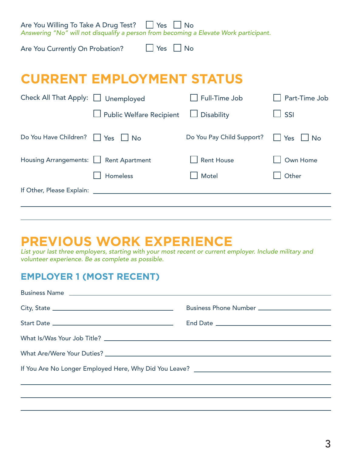Are You Willing To Take A Drug Test? │ │ Yes │ │ No

*Answering "No" will not disqualify a person from becoming a Elevate Work participant.*

Are You Currently On Probation?

 $\Box$  Yes  $\Box$  No

### **CURRENT EMPLOYMENT STATUS**

| Check All That Apply: Unemployed       |                                 | Full-Time Job             | Part-Time Job                    |
|----------------------------------------|---------------------------------|---------------------------|----------------------------------|
|                                        | $\Box$ Public Welfare Recipient | $\Box$ Disability         | 」SSI                             |
| Do You Have Children? Yes UNo          |                                 | Do You Pay Child Support? | $\vert$ $\vert$ Yes<br>$\Box$ No |
| Housing Arrangements:   Rent Apartment |                                 | Rent House                | Own Home                         |
|                                        | <b>Homeless</b>                 | Motel                     | Other                            |
| If Other, Please Explain:              |                                 |                           |                                  |
|                                        |                                 |                           |                                  |

## **PREVIOUS WORK EXPERIENCE**

*List your last three employers, starting with your most recent or current employer. Include military and volunteer experience. Be as complete as possible.*

#### **EMPLOYER 1 (MOST RECENT)**

| If You Are No Longer Employed Here, Why Did You Leave? __________________________ |  |
|-----------------------------------------------------------------------------------|--|
|                                                                                   |  |
|                                                                                   |  |
|                                                                                   |  |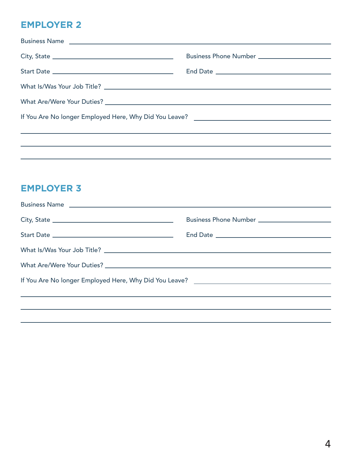#### **EMPLOYER 2**

| If You Are No longer Employed Here, Why Did You Leave? __________________________ |  |
|-----------------------------------------------------------------------------------|--|
|                                                                                   |  |
|                                                                                   |  |

#### **EMPLOYER 3**

| Business Name entry and the set of the set of the set of the set of the set of the set of the set of the set of the set of the set of the set of the set of the set of the set of the set of the set of the set of the set of |  |
|-------------------------------------------------------------------------------------------------------------------------------------------------------------------------------------------------------------------------------|--|
|                                                                                                                                                                                                                               |  |
|                                                                                                                                                                                                                               |  |
|                                                                                                                                                                                                                               |  |
|                                                                                                                                                                                                                               |  |
| If You Are No longer Employed Here, Why Did You Leave? __________________________                                                                                                                                             |  |
|                                                                                                                                                                                                                               |  |
|                                                                                                                                                                                                                               |  |
|                                                                                                                                                                                                                               |  |